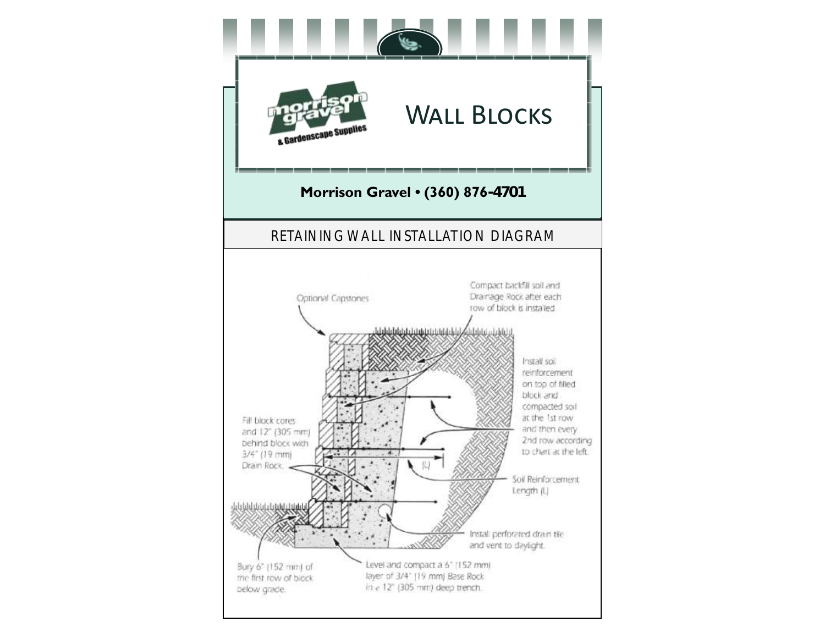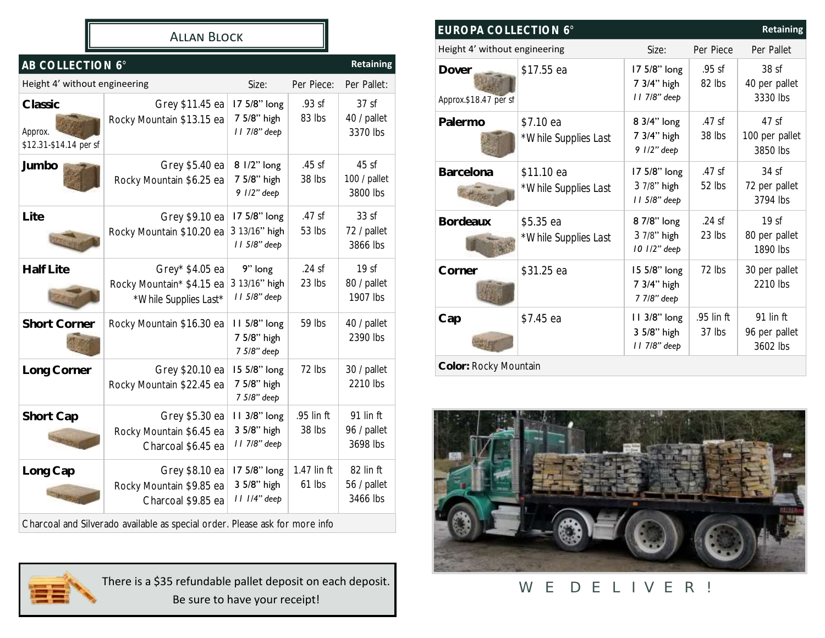#### Allan Block

| AB COLLECTION 6°<br><b>Retaining</b>         |                                                                                              |                                               |                       |                                             |
|----------------------------------------------|----------------------------------------------------------------------------------------------|-----------------------------------------------|-----------------------|---------------------------------------------|
| Height 4' without engineering                |                                                                                              | Size:                                         | Per Piece:            | Per Pallet:                                 |
| Classic<br>Approx.<br>\$12.31-\$14.14 per sf | Grey \$11.45 ea<br>Rocky Mountain \$13.15 ea                                                 | 17 5/8" long<br>7 5/8" high<br>11 7/8" deep   | .93 sf<br>83 lbs      | 37 <sub>sf</sub><br>40 / pallet<br>3370 lbs |
| Jumbo                                        | Grey \$5.40 ea<br>Rocky Mountain \$6.25 ea                                                   | 8 1/2" long<br>7 5/8" high<br>9 1/2" deep     | .45 sf<br>38 lbs      | 45sf<br>100 / pallet<br>3800 lbs            |
| Lite                                         | Grey \$9.10 ea<br>Rocky Mountain \$10.20 ea                                                  | 17 5/8" long<br>3 13/16" high<br>11 5/8" deep | .47sf<br>53 lbs       | 33sf<br>72 / pallet<br>3866 lbs             |
| Half Lite                                    | Grey* \$4.05 ea<br>Rocky Mountain* \$4.15 ea<br>*While Supplies Last*                        | 9" long<br>3 13/16" high<br>11 5/8" deep      | $.24$ sf<br>23 lbs    | 19 <sub>sf</sub><br>80 / pallet<br>1907 lbs |
| <b>Short Corner</b>                          | Rocky Mountain \$16.30 ea                                                                    | 11 5/8" long<br>7 5/8" high<br>7 5/8" deep    | 59 lbs                | 40 / pallet<br>2390 lbs                     |
| Long Corner                                  | Grey \$20.10 ea<br>Rocky Mountain \$22.45 ea                                                 | 15 5/8" long<br>7 5/8" high<br>7 5/8" deep    | 72 lbs                | 30 / pallet<br>2210 lbs                     |
| Short Cap                                    | Grey \$5.30 ea<br>Rocky Mountain \$6.45 ea<br>Charcoal \$6.45 ea                             | 11 3/8" long<br>3 5/8" high<br>11 7/8" deep   | .95 lin ft<br>38 lbs  | 91 lin ft<br>96 / pallet<br>3698 lbs        |
| Long Cap                                     | Grey \$8.10 ea<br>Rocky Mountain \$9.85 ea<br>Charcoal \$9.85 ea                             | 17 5/8" long<br>3 5/8" high<br>11 1/4" deep   | 1.47 lin ft<br>61 lbs | 82 lin ft<br>56 / pallet<br>3466 lbs        |
|                                              | لمكمئل ومرمومة ورمكا بامور ومومرات ورواويتهم المتوجود ومراويا والملتوريون والموصوريان الروزق |                                               |                       |                                             |

Charcoal and Silverado available as special order. Please ask for more info



There is a \$35 refundable pallet deposit on each deposit. Be sure to have your receipt!

**EUROPA COLLECTION 6° Retaining** Height 4' without engineering Size: Per Piece Per Pallet **Dover** *Approx.\$18.47 per sf* \$17.55 ea 17 5/8" long 7 3/4" high *11 7/8" deep* .95 sf 82 lbs 38 sf 40 per pallet 3330 lbs Palermo | \$7.10 ea *\*While Supplies Last* 8 3/4" long 7 3/4" high *9 1/2" deep* .47 sf 38 lbs 47 sf 100 per pallet 3850 lbs Barcelona | \$11.10 ea *\*While Supplies Last* 17 5/8" long 3 7/8" high *11 5/8" deep* .47 sf 52 lbs 34 sf 72 per pallet 3794 lbs **Bordeaux** \$5.35 ea *\*While Supplies Last* 8 7/8" long 3 7/8" high *10 1/2" deep* .24 sf 23 lbs  $19<sub>st</sub>$ 80 per pallet 1890 lbs **Corner** \$31.25 ea 15 5/8" long 7 3/4" high *7 7/8" deep* 72 lbs 30 per pallet 2210 lbs Cap | \$7.45 ea **11 3/8" long** 3 5/8" high *11 7/8" deep* .95 lin ft 37 lbs 91 lin ft 96 per pallet 3602 lbs **Color:** Rocky Mountain



# WE DELIVER!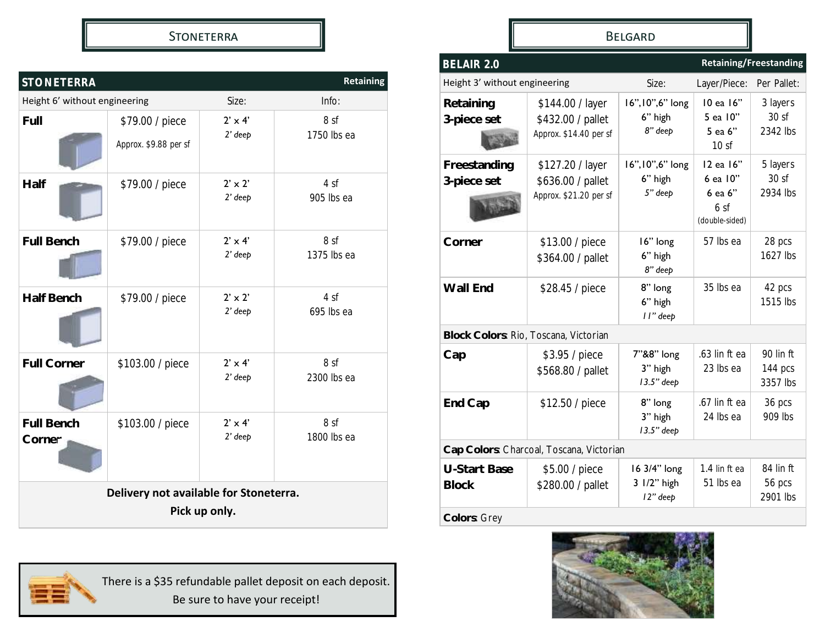#### **STONETERRA**

| <b>Retaining</b><br><b>STONETERRA</b>                   |                                          |                             |                     |  |
|---------------------------------------------------------|------------------------------------------|-----------------------------|---------------------|--|
| Height 6' without engineering                           |                                          | Size:                       | Info:               |  |
| Full                                                    | \$79.00 / piece<br>Approx. \$9.88 per sf | $2' \times 4'$<br>$2'$ deep | 8 sf<br>1750 lbs ea |  |
| Half                                                    | \$79.00 / piece                          | $2' \times 2'$<br>$2'$ deep | 4 sf<br>905 lbs ea  |  |
| <b>Full Bench</b>                                       | \$79.00 / piece                          | $2' \times 4'$<br>$2'$ deep | 8 sf<br>1375 lbs ea |  |
| <b>Half Bench</b>                                       | \$79.00 / piece                          | $2' \times 2'$<br>$2'$ deep | 4 sf<br>695 lbs ea  |  |
| Full Corner                                             | \$103.00 / piece                         | $2' \times 4'$<br>$2'$ deep | 8 sf<br>2300 lbs ea |  |
| <b>Full Bench</b><br>Corner                             | \$103.00 / piece                         | $2' \times 4'$<br>$2'$ deep | 8 sf<br>1800 lbs ea |  |
| Delivery not available for Stoneterra.<br>Pick up only. |                                          |                             |                     |  |



Belgard

| BELAIR 2.0                            | <b>Retaining/Freestanding</b>                                   |                                         |                                                                       |                                  |
|---------------------------------------|-----------------------------------------------------------------|-----------------------------------------|-----------------------------------------------------------------------|----------------------------------|
| Height 3' without engineering         |                                                                 | Size:                                   | Layer/Piece:                                                          | Per Pallet:                      |
| Retaining<br>3-piece set              | \$144.00 / layer<br>\$432.00 / pallet<br>Approx. \$14.40 per sf | 16", 10", 6" long<br>6" high<br>8" deep | 10 ea 16"<br>5 ea 10"<br>5 ea 6"<br>10 <sub>s</sub>                   | 3 layers<br>30sf<br>2342 lbs     |
| Freestanding<br>3-piece set           | \$127.20 / layer<br>\$636.00 / pallet<br>Approx. \$21.20 per sf | 16", 10", 6" long<br>6" high<br>5" deep | 12 ea 16"<br>6 ea 10"<br>6 ea 6"<br>6 <sub>sf</sub><br>(double-sided) | 5 layers<br>30sf<br>2934 lbs     |
| Corner                                | \$13.00 / piece<br>\$364.00 / pallet                            | 16" long<br>6" high<br>8" deep          | 57 lbs ea                                                             | 28 pcs<br>1627 lbs               |
| Wall End                              | \$28.45 / piece                                                 | 8" long<br>6" high<br>II" deep          | 35 lbs ea                                                             | 42 pcs<br>1515 lbs               |
| Block Colors: Rio, Toscana, Victorian |                                                                 |                                         |                                                                       |                                  |
| Cap                                   | \$3.95 / piece<br>\$568.80 / pallet                             | 7"&8" long<br>3" high<br>13.5" deep     | .63 lin ft ea<br>23 lbs ea                                            | 90 lin ft<br>144 pcs<br>3357 lbs |
| End Cap                               | \$12.50 / piece                                                 | 8" long<br>3" high<br>13.5" deep        | .67 lin ft ea<br>24 lbs ea                                            | 36 pcs<br>909 lbs                |
|                                       | Cap Colors: Charcoal, Toscana, Victorian                        |                                         |                                                                       |                                  |
| <b>U-Start Base</b><br><b>Block</b>   | \$5.00 / piece<br>\$280.00 / pallet                             | 16 3/4" long<br>3 1/2" high<br>12" deep | 1.4 lin ft ea<br>51 lbs ea                                            | 84 lin ft<br>56 pcs<br>2901 lbs  |
| Colors: Grey                          |                                                                 |                                         |                                                                       |                                  |

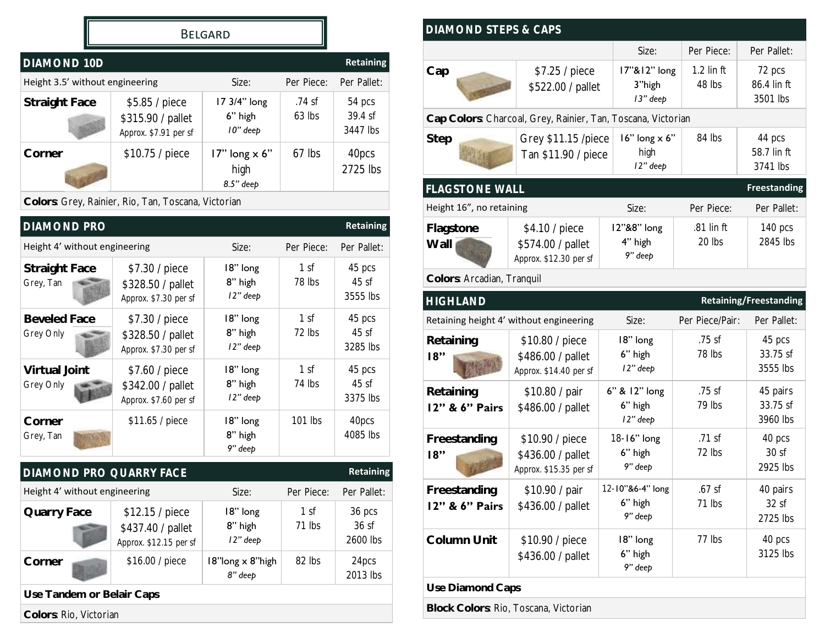#### Belgard

| <b>DIAMOND 10D</b>              |                                                              |                                               |                      | <b>Retaining</b>              |
|---------------------------------|--------------------------------------------------------------|-----------------------------------------------|----------------------|-------------------------------|
| Height 3.5' without engineering |                                                              | Size:                                         | Per Piece:           | Per Pallet:                   |
| Straight Face                   | \$5.85 / piece<br>\$315.90 / pallet<br>Approx. \$7.91 per sf | 17 3/4" long<br>6" high<br>10" deep           | $.74$ sf<br>$63$ lbs | 54 pcs<br>39.4 sf<br>3447 lbs |
| Corner                          | \$10.75 / piece                                              | $17"$ long $\times$ 6"<br>high<br>$8.5"$ deep | $67$ lbs             | 40pcs<br>2725 lbs             |
|                                 | Colors: Grey, Rainier, Rio, Tan, Toscana, Victorian          |                                               |                      |                               |

| <b>Retaining</b><br><b>DIAMOND PRO</b> |                                                                |                                 |                           |                            |
|----------------------------------------|----------------------------------------------------------------|---------------------------------|---------------------------|----------------------------|
| Height 4' without engineering          |                                                                | Size:                           | Per Piece:                | Per Pallet:                |
| Straight Face<br>Grey, Tan             | \$7.30 / piece<br>\$328.50 / pallet<br>Approx. \$7.30 per sf   | 18" long<br>8" high<br>12" deep | 1 <sub>sf</sub><br>78 lbs | 45 pcs<br>45sf<br>3555 lbs |
| <b>Beveled Face</b><br>Grey Only       | \$7.30 / piece<br>\$328.50 / pallet<br>Approx. \$7.30 per sf   | 18" long<br>8" high<br>12" deep | 1 <sup>s</sup><br>72 lbs  | 45 pcs<br>45sf<br>3285 lbs |
| Virtual Joint<br>Grey Only             | \$7.60 / piece<br>\$342.00 / pallet<br>Approx. \$7.60 per sf   | 18" long<br>8" high<br>12" deep | 1 <sup>s</sup><br>74 lbs  | 45 pcs<br>45sf<br>3375 lbs |
| Corner<br>Grey, Tan                    | \$11.65 / piece                                                | 18" long<br>8" high<br>9" deep  | 101 lbs                   | 40pcs<br>4085 lbs          |
| DIAMOND PRO QUARRY FACE                |                                                                |                                 |                           | Retaining                  |
| Height 4' without engineering          |                                                                | Size:                           | Per Piece:                | Per Pallet:                |
| Quarry Face                            | \$12.15 / piece<br>\$437.40 / pallet<br>Approx. \$12.15 per sf | 18" long<br>8" high<br>12" deep | 1 <sup>st</sup><br>71 lbs | 36 pcs<br>36sf<br>2600 lbs |
| Corner                                 | \$16.00 / piece                                                | 18"long x 8"high<br>8" deep     | 82 lbs                    | 24pcs<br>2013 lbs          |
| Use Tandem or Belair Caps              |                                                                |                                 |                           |                            |
| Colors: Rio, Victorian                 |                                                                |                                 |                           |                            |

| DIAMOND STEPS & CAPS           |                                                                |                                            |                        |                                   |
|--------------------------------|----------------------------------------------------------------|--------------------------------------------|------------------------|-----------------------------------|
|                                |                                                                | Size:                                      | Per Piece:             | Per Pallet:                       |
| Cap                            | \$7.25 / piece<br>\$522.00 / pallet                            | 17"&12" long<br>3"high<br>13" deep         | $1.2$ lin ft<br>48 lbs | 72 pcs<br>86.4 lin ft<br>3501 lbs |
|                                | Cap Colors: Charcoal, Grey, Rainier, Tan, Toscana, Victorian   |                                            |                        |                                   |
| Step                           | Grey \$11.15 /piece<br>Tan \$11.90 / piece                     | $16"$ long $\times 6"$<br>high<br>12" deep | 84 lbs                 | 44 pcs<br>58.7 lin ft<br>3741 lbs |
| <b>FLAGSTONE WALL</b>          |                                                                |                                            |                        | <b>Freestanding</b>               |
| Height 16", no retaining       |                                                                | Size:                                      | Per Piece:             | Per Pallet:                       |
| Flagstone<br>Wall              | \$4.10 / piece<br>\$574.00 / pallet<br>Approx. \$12.30 per sf  | 12"&8" long<br>4" high<br>9" deep          | .81 lin ft<br>20 lbs   | 140 pcs<br>2845 lbs               |
| Colors: Arcadian, Tranquil     |                                                                |                                            |                        |                                   |
| <b>HIGHLAND</b>                |                                                                |                                            |                        | <b>Retaining/Freestanding</b>     |
|                                | Retaining height 4' without engineering                        | Size:                                      | Per Piece/Pair:        | Per Pallet:                       |
| Retaining<br>18"               | \$10.80 / piece<br>\$486.00 / pallet<br>Approx. \$14.40 per sf | 18" long<br>6" high<br>12" deep            | $.75$ sf<br>78 lbs     | 45 pcs<br>33.75 sf<br>3555 lbs    |
| Retaining<br>12" & 6" Pairs    | \$10.80 / pair<br>\$486.00 / pallet                            | 6" & 12" long<br>6" high<br>12" deep       | .75 sf<br>79 lbs       | 45 pairs<br>33.75 sf<br>3960 lbs  |
| Freestanding<br>18"            | \$10.90 / piece<br>\$436.00 / pallet<br>Approx. \$15.35 per sf | 18-16" long<br>6" high<br>9" deep          | $.71$ sf<br>72 lbs     | 40 pcs<br>30sf<br>2925 lbs        |
| Freestanding<br>12" & 6" Pairs | \$10.90 / pair<br>\$436.00 / pallet                            | 12-10"&6-4" long<br>6" high<br>9" deep     | $.67$ sf<br>71 lbs     | 40 pairs<br>32sf<br>2725 lbs      |
| Column Unit                    | \$10.90 / piece<br>\$436.00 / pallet                           | 18" long<br>6" high<br>9" deep             | 77 lbs                 | 40 pcs<br>3125 lbs                |
| Use Diamond Caps               |                                                                |                                            |                        |                                   |
|                                | Block Colors: Rio, Toscana, Victorian                          |                                            |                        |                                   |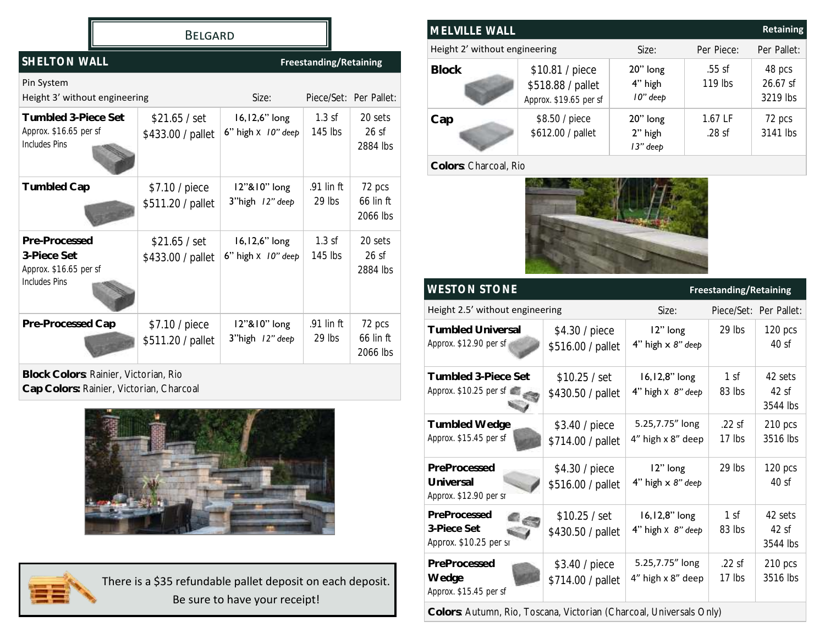#### Belgard

| SHELTON WALL                                                            |                                     | <b>Freestanding/Retaining</b>                  |                        |                                 |
|-------------------------------------------------------------------------|-------------------------------------|------------------------------------------------|------------------------|---------------------------------|
| Pin System<br>Height 3' without engineering                             |                                     | Size:                                          |                        | Piece/Set: Per Pallet:          |
| Tumbled 3-Piece Set<br>Approx. \$16.65 per sf<br>Includes Pins          | \$21.65 / set<br>\$433.00 / pallet  | $16, 12, 6"$ long<br>6" high $\times$ 10" deep | $1.3$ sf<br>$145$ lbs  | 20 sets<br>$26$ sf<br>2884 lbs  |
| <b>Tumbled Cap</b>                                                      | \$7.10 / piece<br>\$511.20 / pallet | 12"&10" long<br>3"high 12" deep                | .91 lin ft<br>$29$ lbs | 72 pcs<br>66 lin ft<br>2066 lbs |
| Pre-Processed<br>3-Piece Set<br>Approx. \$16.65 per sf<br>Includes Pins | \$21.65 / set<br>\$433.00 / pallet  | $16, 12, 6"$ long<br>6" high $\times$ 10" deep | $1.3$ sf<br>145 lbs    | 20 sets<br>26sf<br>2884 lbs     |
| Pre-Processed Cap                                                       | \$7.10 / piece<br>\$511.20 / pallet | 12"&10" long<br>3"high 12" deep                | .91 lin ft<br>$29$ lbs | 72 pcs<br>66 lin ft<br>2066 lbs |

**Block Colors**: Rainier, Victorian, Rio **Cap Colors:** Rainier, Victorian, Charcoal





There is a \$35 refundable pallet deposit on each deposit. Be sure to have your receipt!

| <b>Retaining</b><br>MELVILLE WALL |                                                                |                                 |                       |                                |
|-----------------------------------|----------------------------------------------------------------|---------------------------------|-----------------------|--------------------------------|
| Height 2' without engineering     |                                                                | Size:                           | Per Piece:            | Per Pallet:                    |
| <b>Block</b>                      | \$10.81 / piece<br>\$518.88 / pallet<br>Approx. \$19.65 per sf | 20" long<br>4" high<br>10" deep | $.55$ sf<br>119 lbs   | 48 pcs<br>26.67 sf<br>3219 lbs |
| Cap                               | \$8.50 / piece<br>\$612.00 / pallet                            | 20" long<br>2" high<br>13" deep | $1.67$ LF<br>$.28$ sf | 72 pcs<br>3141 lbs             |

#### **Colors**: Charcoal, Rio



| <b>WESTON STONE</b>                                                 |                                     | <b>Freestanding/Retaining</b>             |                           |                             |
|---------------------------------------------------------------------|-------------------------------------|-------------------------------------------|---------------------------|-----------------------------|
| Height 2.5' without engineering                                     |                                     | Size:                                     |                           | Piece/Set: Per Pallet:      |
| <b>Tumbled Universal</b><br>Approx. \$12.90 per sf                  | \$4.30 / piece<br>\$516.00 / pallet | 12" long<br>4" high x 8" deep             | 29 lbs                    | 120 pcs<br>40sf             |
| Tumbled 3-Piece Set<br>Approx. \$10.25 per sf                       | \$10.25 / set<br>\$430.50 / pallet  | 16,12,8" long<br>4" high $\times$ 8" deep | 1 <sub>sf</sub><br>83 lbs | 42 sets<br>42sf<br>3544 lbs |
| Tumbled Wedge<br>Approx. \$15.45 per sf                             | \$3.40 / piece<br>\$714.00 / pallet | 5.25,7.75" long<br>4" high x 8" deep      | $.22$ sf<br>17 lbs        | 210 pcs<br>3516 lbs         |
| PreProcessed<br>Universal<br>Approx. \$12.90 per st                 | \$4.30 / piece<br>\$516.00 / pallet | 12" long<br>4" high x 8" deep             | 29 lbs                    | 120 pcs<br>40sf             |
| PreProcessed<br>3-Piece Set<br>Approx. \$10.25 per sr               | \$10.25 / set<br>\$430.50 / pallet  | 16,12,8" long<br>4" high $\times$ 8" deep | 1 <sub>sf</sub><br>83 lbs | 42 sets<br>42sf<br>3544 lbs |
| PreProcessed<br>Wedge<br>Approx. \$15.45 per sf                     | \$3.40 / piece<br>\$714.00 / pallet | 5.25,7.75" long<br>4" high x 8" deep      | $.22$ sf<br>17 lbs        | 210 pcs<br>3516 lbs         |
| Colors: Autumn, Rio, Toscana, Victorian (Charcoal, Universals Only) |                                     |                                           |                           |                             |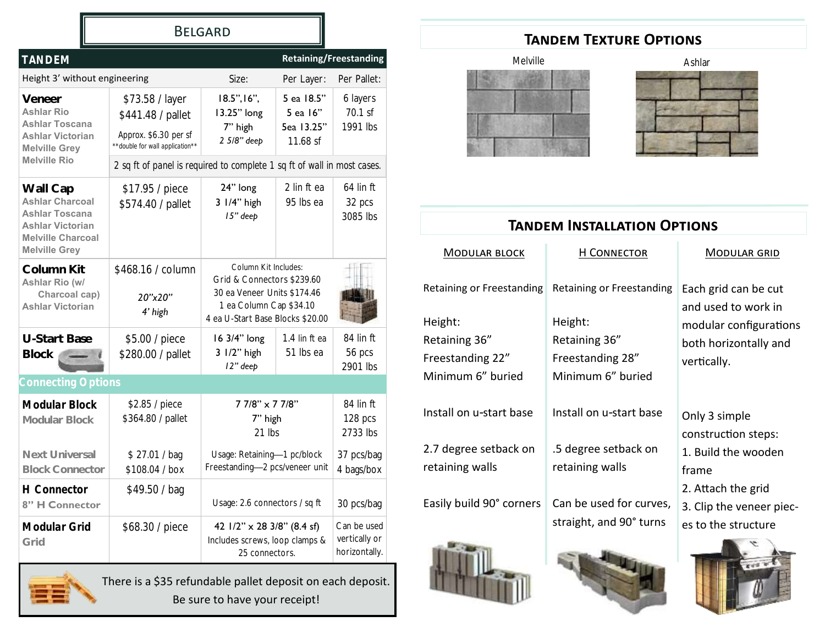|                                                                                                                                            |                                                                                                  | <b>BELGARD</b>                                                                                                                                   |                                                    |                                               |
|--------------------------------------------------------------------------------------------------------------------------------------------|--------------------------------------------------------------------------------------------------|--------------------------------------------------------------------------------------------------------------------------------------------------|----------------------------------------------------|-----------------------------------------------|
| <b>TANDEM</b>                                                                                                                              |                                                                                                  |                                                                                                                                                  |                                                    | <b>Retaining/Freestanding</b>                 |
| Height 3' without engineering                                                                                                              |                                                                                                  | Size:                                                                                                                                            | Per Layer:                                         | Per Pallet:                                   |
| Veneer<br><b>Ashlar Rio</b><br><b>Ashlar Toscana</b><br><b>Ashlar Victorian</b><br><b>Melville Grey</b>                                    | \$73.58 / layer<br>\$441.48 / pallet<br>Approx. \$6.30 per sf<br>**double for wall application** | $18.5$ ", $16$ ",<br>13.25" long<br>7" high<br>2 5/8" deep                                                                                       | 5 ea 18.5"<br>5 ea 16"<br>5ea 13.25"<br>$11.68$ sf | 6 layers<br>70.1 sf<br>1991 lbs               |
| <b>Melville Rio</b>                                                                                                                        | 2 sq ft of panel is required to complete 1 sq ft of wall in most cases.                          |                                                                                                                                                  |                                                    |                                               |
| Wall Cap<br><b>Ashlar Charcoal</b><br><b>Ashlar Toscana</b><br><b>Ashlar Victorian</b><br><b>Melville Charcoal</b><br><b>Melville Grey</b> | \$17.95 / piece<br>\$574.40 / pallet                                                             | 24" long<br>3 1/4" high<br>15" deep                                                                                                              | 2 lin ft ea<br>95 lbs ea                           | $64$ lin ft<br>32 pcs<br>3085 lbs             |
| Column Kit<br>Ashlar Rio (w/<br>Charcoal cap)<br><b>Ashlar Victorian</b>                                                                   | \$468.16 / column<br>20"x20"<br>4' high                                                          | Column Kit Includes:<br>Grid & Connectors \$239.60<br>30 ea Veneer Units \$174.46<br>1 ea Column Cap \$34.10<br>4 ea U-Start Base Blocks \$20.00 |                                                    |                                               |
| U-Start Base<br>Block                                                                                                                      | \$5.00 / piece<br>\$280.00 / pallet                                                              | 16 3/4" long<br>3 1/2" high<br>12" deep                                                                                                          | 1.4 lin ft ea<br>51 lbs ea                         | 84 lin ft<br>56 pcs<br>2901 lbs               |
| <b>Connecting Options</b>                                                                                                                  |                                                                                                  |                                                                                                                                                  |                                                    |                                               |
| Modular Block<br>Modular Block                                                                                                             | \$2.85 / piece<br>\$364.80 / pallet                                                              | 7 7/8" x 7 7/8"<br>7" high<br>21 lbs                                                                                                             |                                                    | 84 lin ft<br>128 pcs<br>2733 lbs              |
| Next Universal<br><b>Block Connector</b>                                                                                                   | \$27.01 / bag<br>\$108.04 / box                                                                  | Usage: Retaining-1 pc/block<br>Freestanding-2 pcs/veneer unit                                                                                    |                                                    | 37 pcs/bag<br>4 bags/box                      |
| <b>H</b> Connector<br>8" H Connector                                                                                                       | \$49.50 / bag                                                                                    | Usage: 2.6 connectors / sq ft                                                                                                                    |                                                    | 30 pcs/bag                                    |
| Modular Grid<br>Grid                                                                                                                       | \$68.30 / piece                                                                                  | 42 $1/2$ " x 28 3/8" (8.4 sf)<br>Includes screws, loop clamps &<br>25 connectors.                                                                |                                                    | Can be used<br>vertically or<br>horizontally. |

There is a \$35 refundable pallet deposit on each deposit. Be sure to have your receipt!

# **Tandem Texture Options**





| <b>TANDEM INSTALLATION OPTIONS</b> |                                                    |                                                                       |  |  |  |
|------------------------------------|----------------------------------------------------|-----------------------------------------------------------------------|--|--|--|
| <b>MODULAR BLOCK</b>               | H CONNECTOR                                        | <b>MODULAR GRID</b>                                                   |  |  |  |
| <b>Retaining or Freestanding</b>   | <b>Retaining or Freestanding</b>                   | Each grid can be cut<br>and used to work in                           |  |  |  |
| Height:                            | Height:                                            | modular configurations                                                |  |  |  |
| Retaining 36"                      | Retaining 36"                                      | both horizontally and                                                 |  |  |  |
| Freestanding 22"                   | Freestanding 28"                                   | vertically.                                                           |  |  |  |
| Minimum 6" buried                  | Minimum 6" buried                                  |                                                                       |  |  |  |
| Install on u-start base            | Install on u-start base                            | Only 3 simple<br>construction steps:                                  |  |  |  |
| 2.7 degree setback on              | .5 degree setback on                               | 1. Build the wooden                                                   |  |  |  |
| retaining walls                    | retaining walls                                    | frame                                                                 |  |  |  |
| Easily build 90° corners           | Can be used for curves,<br>straight, and 90° turns | 2. Attach the grid<br>3. Clip the veneer piec-<br>es to the structure |  |  |  |
|                                    |                                                    | p 05 T                                                                |  |  |  |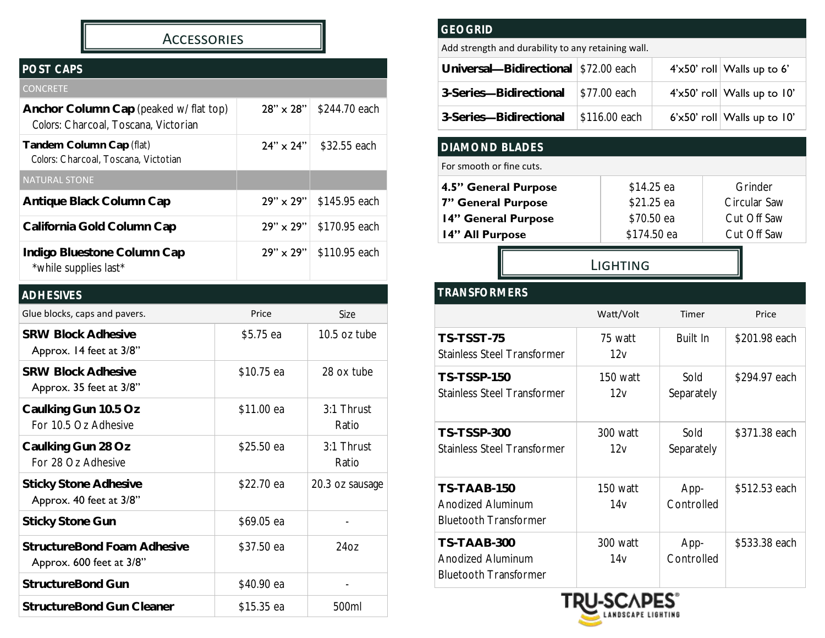### **ACCESSORIES**

# *POST CAPS*

| <b>CONCRETE</b>                                                                |                    |               |
|--------------------------------------------------------------------------------|--------------------|---------------|
| Anchor Column Cap (peaked w/ flat top)<br>Colors: Charcoal, Toscana, Victorian | $28'' \times 28''$ | \$244.70 each |
| Tandem Column Cap (flat)<br>Colors: Charcoal, Toscana, Victotian               | $24" \times 24"$   | \$32.55 each  |
| <b>NATURAL STONE</b>                                                           |                    |               |
| Antique Black Column Cap                                                       | $29" \times 29"$   | \$145.95 each |
| California Gold Column Cap                                                     | $29" \times 29"$   | \$170.95 each |
| Indigo Bluestone Column Cap<br>*while supplies last*                           | $29" \times 29"$   | \$110.95 each |

| <b>ADHESIVES</b>                                        |            |                       |
|---------------------------------------------------------|------------|-----------------------|
| Glue blocks, caps and pavers.                           | Price      | Size                  |
| <b>SRW Block Adhesive</b><br>Approx. 14 feet at 3/8"    | \$5.75 ea  | $10.5$ oz tube        |
| <b>SRW Block Adhesive</b><br>Approx. 35 feet at 3/8"    | \$10.75 ea | 28 ox tube            |
| Caulking Gun 10.5 Oz<br>For 10.5 Oz Adhesive            | \$11.00 ea | 3:1 Thrust<br>Ratio   |
| Caulking Gun 28 Oz<br>For 28 Oz Adhesive                | \$25.50 ea | $3:1$ Thrust<br>Ratio |
| <b>Sticky Stone Adhesive</b><br>Approx. 40 feet at 3/8" | \$22.70 ea | 20.3 oz sausage       |
| Sticky Stone Gun                                        | \$69.05 ea |                       |
| StructureBond Foam Adhesive<br>Approx. 600 feet at 3/8" | \$37.50 ea | 2407                  |
| StructureBond Gun                                       | \$40.90 ea |                       |
| StructureBond Gun Cleaner                               | \$15.35 ea | 500ml                 |
|                                                         |            |                       |

#### *GEOGRID*

Add strength and durability to any retaining wall.

| Universal-Bidirectional   \$72.00 each |               | $4' \times 50'$ roll Walls up to 6'  |
|----------------------------------------|---------------|--------------------------------------|
| 3-Series-Bidirectional                 | \$77.00 each  | $4' \times 50'$ roll Walls up to 10' |
| 3-Series-Bidirectional                 | \$116.00 each | $6'$ x50' roll Walls up to 10'       |

#### *DIAMOND BLADES*

#### For smooth or fine cuts.

*TRANSFORMERS*

| 4.5" General Purpose | \$14.25 ea  | Grinder      |
|----------------------|-------------|--------------|
| 7" General Purpose   | \$21.25 ea  | Circular Saw |
| 14" General Purpose  | \$70.50 ea  | Cut Off Saw  |
| 14" All Purpose      | \$174.50 ea | Cut Off Saw  |

Lighting

| U VU VINVILINJ                                                   |                 |                    |               |
|------------------------------------------------------------------|-----------------|--------------------|---------------|
|                                                                  | Watt/Volt       | Timer              | Price         |
| TS-TSST-75<br><b>Stainless Steel Transformer</b>                 | 75 watt<br>12v  | Built In           | \$201.98 each |
| <b>TS-TSSP-150</b><br><b>Stainless Steel Transformer</b>         | 150 watt<br>12v | Sold<br>Separately | \$294.97 each |
| <b>TS-TSSP-300</b><br><b>Stainless Steel Transformer</b>         | 300 watt<br>12v | Sold<br>Separately | \$371.38 each |
| TS-TAAB-150<br>Anodized Aluminum<br><b>Bluetooth Transformer</b> | 150 watt<br>14v | App-<br>Controlled | \$512.53 each |
| TS-TAAB-300<br>Anodized Aluminum<br><b>Bluetooth Transformer</b> | 300 watt<br>14v | App-<br>Controlled | \$533.38 each |

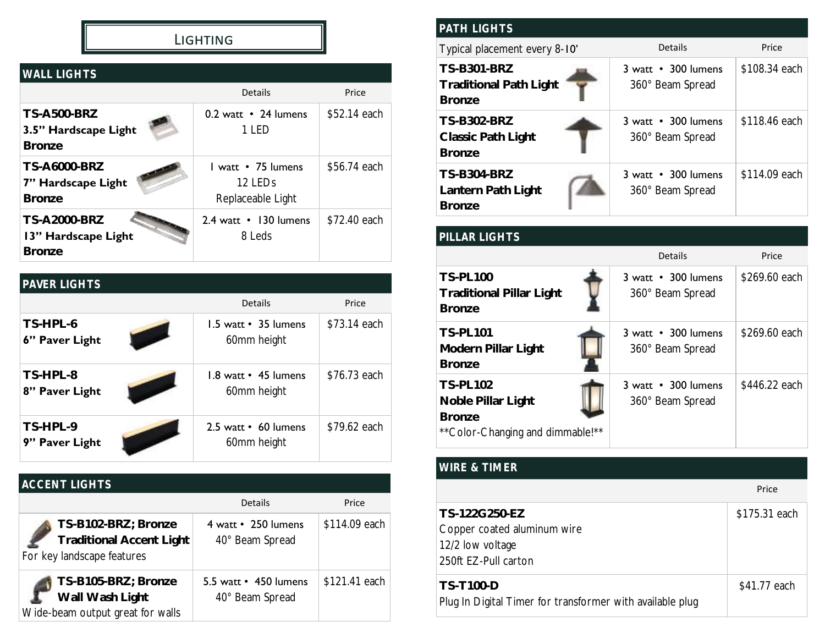# Lighting

| <b>WALL LIGHTS</b>                                          |                                                                |              |
|-------------------------------------------------------------|----------------------------------------------------------------|--------------|
|                                                             | Details                                                        | Price        |
| <b>TS-A500-BRZ</b><br>3.5" Hardscape Light<br><b>Bronze</b> | 0.2 watt • 24 lumens<br>1 LED                                  | \$52.14 each |
| <b>TS-A6000-BRZ</b><br>7" Hardscape Light<br><b>Bronze</b>  | L watt • 75 lumens<br>12 LED <sub>s</sub><br>Replaceable Light | \$56.74 each |
| <b>TS-A2000-BRZ</b><br>13" Hardscape Light<br><b>Bronze</b> | 2.4 watt • 130 lumens<br>8 Leds                                | \$72.40 each |

| PAVER LIGHTS               |                                     |              |
|----------------------------|-------------------------------------|--------------|
|                            | <b>Details</b>                      | Price        |
| TS-HPL-6<br>6" Paver Light | 1.5 watt • 35 lumens<br>60mm height | \$73.14 each |
| TS-HPL-8<br>8" Paver Light | 1.8 watt • 45 lumens<br>60mm height | \$76.73 each |
| TS-HPL-9<br>9" Paver Light | 2.5 watt • 60 lumens<br>60mm height | \$79.62 each |

# *ACCENT LIGHTS*

|                                                                                      | <b>Details</b>                           | Price          |
|--------------------------------------------------------------------------------------|------------------------------------------|----------------|
| TS-B102-BRZ; Bronze<br><b>Traditional Accent Light</b><br>For key landscape features | 4 watt • 250 lumens<br>40° Beam Spread   | \$114.09 each  |
| TS-B105-BRZ; Bronze<br>Wall Wash Light<br>Wide-beam output great for walls           | 5.5 watt • 450 lumens<br>40° Beam Spread | $$121.41$ each |

| <b>PATH LIGHTS</b>                                                   |                                         |               |
|----------------------------------------------------------------------|-----------------------------------------|---------------|
| Typical placement every 8-10'                                        | Details                                 | Price         |
| <b>TS-B301-BRZ</b><br><b>Traditional Path Light</b><br><b>Bronze</b> | 3 watt • 300 lumens<br>360° Beam Spread | \$108.34 each |
| <b>TS-B302-BRZ</b><br>Classic Path Light<br><b>Bronze</b>            | 3 watt • 300 lumens<br>360° Beam Spread | \$118.46 each |
| <b>TS-B304-BRZ</b><br>Lantern Path Light<br><b>Bronze</b>            | 3 watt • 300 lumens<br>360° Beam Spread | \$114.09 each |

| PILLAR LIGHTS                                                                               |                                                              |               |
|---------------------------------------------------------------------------------------------|--------------------------------------------------------------|---------------|
|                                                                                             | Details                                                      | Price         |
| <b>TS-PL100</b><br><b>Traditional Pillar Light</b><br><b>Bronze</b>                         | 3 watt • 300 lumens<br>360° Beam Spread                      | \$269.60 each |
| <b>TS-PL101</b><br>Modern Pillar Light<br><b>Bronze</b>                                     | $3 \text{ watt} \cdot 300 \text{ lumes}$<br>360° Beam Spread | \$269.60 each |
| <b>TS-PL102</b><br>Noble Pillar Light<br><b>Bronze</b><br>** Color-Changing and dimmable!** | 3 watt • 300 lumens<br>360° Beam Spread                      | \$446.22 each |

# *WIRE & TIMER*

|                                                                                          | Price         |
|------------------------------------------------------------------------------------------|---------------|
| TS-122G250-EZ<br>Copper coated aluminum wire<br>12/2 low voltage<br>250ft EZ-Pull carton | \$175.31 each |
| <b>TS-T100-D</b><br>Plug In Digital Timer for transformer with available plug            | \$41.77 each  |